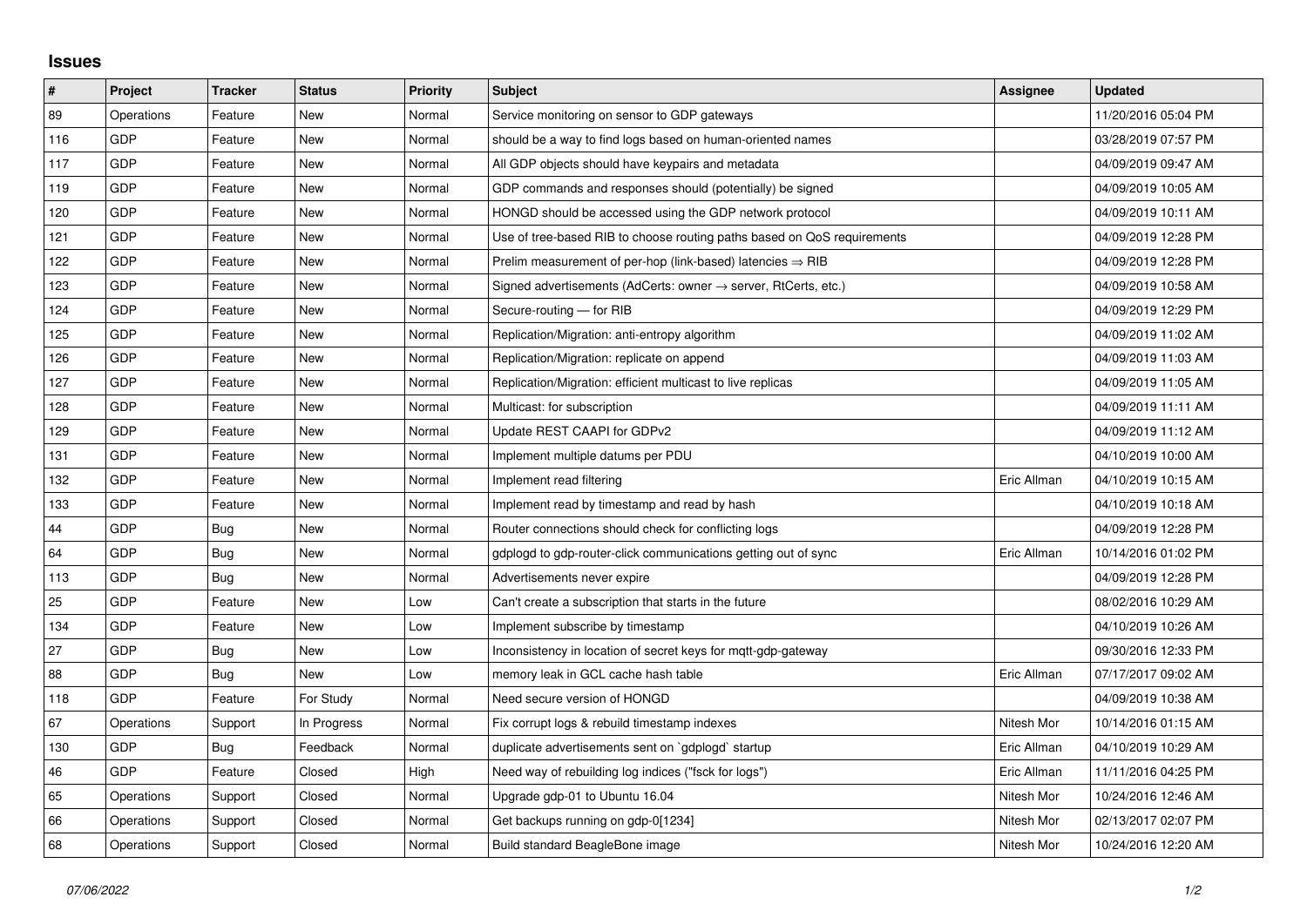## **Issues**

| #   | Project    | <b>Tracker</b> | <b>Status</b> | <b>Priority</b> | <b>Subject</b>                                                             | <b>Assignee</b> | <b>Updated</b>      |
|-----|------------|----------------|---------------|-----------------|----------------------------------------------------------------------------|-----------------|---------------------|
| 89  | Operations | Feature        | <b>New</b>    | Normal          | Service monitoring on sensor to GDP gateways                               |                 | 11/20/2016 05:04 PM |
| 116 | GDP        | Feature        | New           | Normal          | should be a way to find logs based on human-oriented names                 |                 | 03/28/2019 07:57 PM |
| 117 | GDP        | Feature        | New           | Normal          | All GDP objects should have keypairs and metadata                          |                 | 04/09/2019 09:47 AM |
| 119 | GDP        | Feature        | <b>New</b>    | Normal          | GDP commands and responses should (potentially) be signed                  |                 | 04/09/2019 10:05 AM |
| 120 | GDP        | Feature        | New           | Normal          | HONGD should be accessed using the GDP network protocol                    |                 | 04/09/2019 10:11 AM |
| 121 | GDP        | Feature        | New           | Normal          | Use of tree-based RIB to choose routing paths based on QoS requirements    |                 | 04/09/2019 12:28 PM |
| 122 | GDP        | Feature        | <b>New</b>    | Normal          | Prelim measurement of per-hop (link-based) latencies $\Rightarrow$ RIB     |                 | 04/09/2019 12:28 PM |
| 123 | GDP        | Feature        | New           | Normal          | Signed advertisements (AdCerts: owner $\rightarrow$ server, RtCerts, etc.) |                 | 04/09/2019 10:58 AM |
| 124 | GDP        | Feature        | New           | Normal          | Secure-routing - for RIB                                                   |                 | 04/09/2019 12:29 PM |
| 125 | GDP        | Feature        | New           | Normal          | Replication/Migration: anti-entropy algorithm                              |                 | 04/09/2019 11:02 AM |
| 126 | GDP        | Feature        | New           | Normal          | Replication/Migration: replicate on append                                 |                 | 04/09/2019 11:03 AM |
| 127 | GDP        | Feature        | New           | Normal          | Replication/Migration: efficient multicast to live replicas                |                 | 04/09/2019 11:05 AM |
| 128 | GDP        | Feature        | New           | Normal          | Multicast: for subscription                                                |                 | 04/09/2019 11:11 AM |
| 129 | GDP        | Feature        | New           | Normal          | Update REST CAAPI for GDPv2                                                |                 | 04/09/2019 11:12 AM |
| 131 | GDP        | Feature        | New           | Normal          | Implement multiple datums per PDU                                          |                 | 04/10/2019 10:00 AM |
| 132 | GDP        | Feature        | New           | Normal          | Implement read filtering                                                   | Eric Allman     | 04/10/2019 10:15 AM |
| 133 | GDP        | Feature        | New           | Normal          | Implement read by timestamp and read by hash                               |                 | 04/10/2019 10:18 AM |
| 44  | GDP        | Bug            | New           | Normal          | Router connections should check for conflicting logs                       |                 | 04/09/2019 12:28 PM |
| 64  | GDP        | Bug            | New           | Normal          | gdplogd to gdp-router-click communications getting out of sync             | Eric Allman     | 10/14/2016 01:02 PM |
| 113 | GDP        | Bug            | New           | Normal          | Advertisements never expire                                                |                 | 04/09/2019 12:28 PM |
| 25  | GDP        | Feature        | New           | Low             | Can't create a subscription that starts in the future                      |                 | 08/02/2016 10:29 AM |
| 134 | GDP        | Feature        | New           | Low             | Implement subscribe by timestamp                                           |                 | 04/10/2019 10:26 AM |
| 27  | GDP        | Bug            | New           | Low             | Inconsistency in location of secret keys for mgtt-gdp-gateway              |                 | 09/30/2016 12:33 PM |
| 88  | GDP        | <b>Bug</b>     | New           | Low             | memory leak in GCL cache hash table                                        | Eric Allman     | 07/17/2017 09:02 AM |
| 118 | <b>GDP</b> | Feature        | For Study     | Normal          | Need secure version of HONGD                                               |                 | 04/09/2019 10:38 AM |
| 67  | Operations | Support        | In Progress   | Normal          | Fix corrupt logs & rebuild timestamp indexes                               | Nitesh Mor      | 10/14/2016 01:15 AM |
| 130 | GDP        | Bug            | Feedback      | Normal          | duplicate advertisements sent on `gdplogd` startup                         | Eric Allman     | 04/10/2019 10:29 AM |
| 46  | <b>GDP</b> | Feature        | Closed        | High            | Need way of rebuilding log indices ("fsck for logs")                       | Eric Allman     | 11/11/2016 04:25 PM |
| 65  | Operations | Support        | Closed        | Normal          | Upgrade gdp-01 to Ubuntu 16.04                                             | Nitesh Mor      | 10/24/2016 12:46 AM |
| 66  | Operations | Support        | Closed        | Normal          | Get backups running on gdp-0[1234]                                         | Nitesh Mor      | 02/13/2017 02:07 PM |
| 68  | Operations | Support        | Closed        | Normal          | Build standard BeagleBone image                                            | Nitesh Mor      | 10/24/2016 12:20 AM |